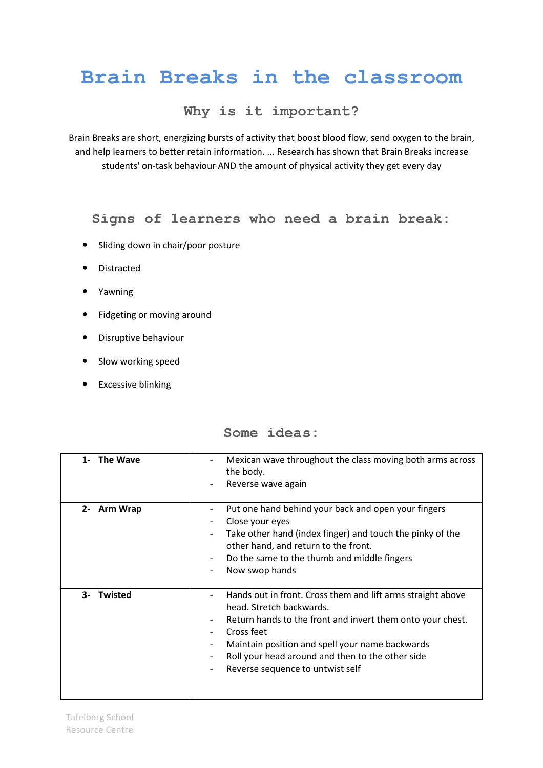## **Brain Breaks in the classroom**

## **Why is it important?**

Brain Breaks are short, energizing bursts of activity that boost blood flow, send oxygen to the brain, and help learners to better retain information. ... Research has shown that Brain Breaks increase students' on-task behaviour AND the amount of physical activity they get every day

## **Signs of learners who need a brain break:**

- Sliding down in chair/poor posture
- Distracted
- Yawning
- Fidgeting or moving around
- Disruptive behaviour
- Slow working speed
- **•** Excessive blinking

| <b>The Wave</b><br>$1 -$ | Mexican wave throughout the class moving both arms across<br>the body.<br>Reverse wave again                                                                                                                                                                                                                        |
|--------------------------|---------------------------------------------------------------------------------------------------------------------------------------------------------------------------------------------------------------------------------------------------------------------------------------------------------------------|
| 2- Arm Wrap              | Put one hand behind your back and open your fingers<br>Close your eyes<br>Take other hand (index finger) and touch the pinky of the<br>other hand, and return to the front.<br>Do the same to the thumb and middle fingers<br>Now swop hands                                                                        |
| <b>Twisted</b><br>$3 -$  | Hands out in front. Cross them and lift arms straight above<br>head. Stretch backwards.<br>Return hands to the front and invert them onto your chest.<br>Cross feet<br>Maintain position and spell your name backwards<br>-<br>Roll your head around and then to the other side<br>Reverse sequence to untwist self |

**Some ideas:**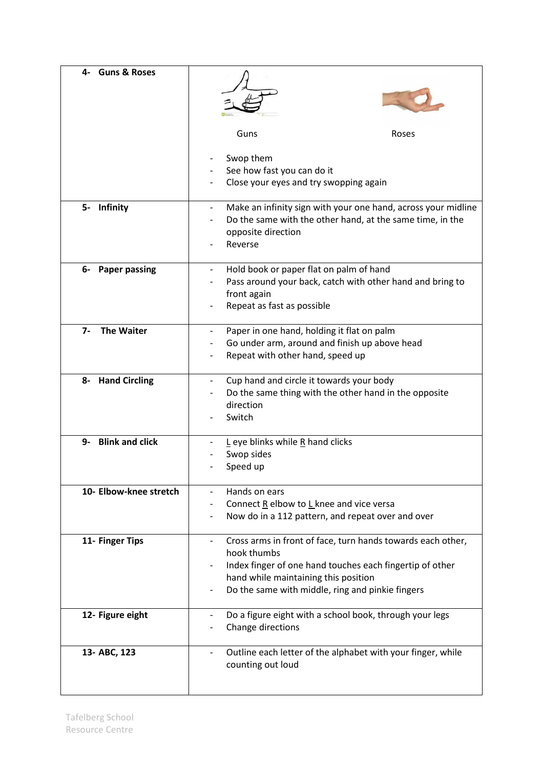| <b>Guns &amp; Roses</b><br>4- |                                                                                                                                                                                                                                    |
|-------------------------------|------------------------------------------------------------------------------------------------------------------------------------------------------------------------------------------------------------------------------------|
|                               | Guns<br>Roses                                                                                                                                                                                                                      |
|                               | Swop them<br>See how fast you can do it<br>Close your eyes and try swopping again                                                                                                                                                  |
| 5- Infinity                   | Make an infinity sign with your one hand, across your midline<br>Do the same with the other hand, at the same time, in the<br>opposite direction<br>Reverse                                                                        |
| 6- Paper passing              | Hold book or paper flat on palm of hand<br>Pass around your back, catch with other hand and bring to<br>front again<br>Repeat as fast as possible                                                                                  |
| <b>The Waiter</b><br>$7-$     | Paper in one hand, holding it flat on palm<br>Go under arm, around and finish up above head<br>Repeat with other hand, speed up                                                                                                    |
| 8- Hand Circling              | Cup hand and circle it towards your body<br>Do the same thing with the other hand in the opposite<br>direction<br>Switch                                                                                                           |
| <b>Blink and click</b><br>9-  | $L$ eye blinks while R hand clicks<br>Swop sides<br>Speed up                                                                                                                                                                       |
| 10- Elbow-knee stretch        | Hands on ears<br>Connect R elbow to L knee and vice versa<br>Now do in a 112 pattern, and repeat over and over                                                                                                                     |
| 11- Finger Tips               | Cross arms in front of face, turn hands towards each other,<br>hook thumbs<br>Index finger of one hand touches each fingertip of other<br>hand while maintaining this position<br>Do the same with middle, ring and pinkie fingers |
| 12- Figure eight              | Do a figure eight with a school book, through your legs<br>Change directions                                                                                                                                                       |
| 13- ABC, 123                  | Outline each letter of the alphabet with your finger, while<br>counting out loud                                                                                                                                                   |